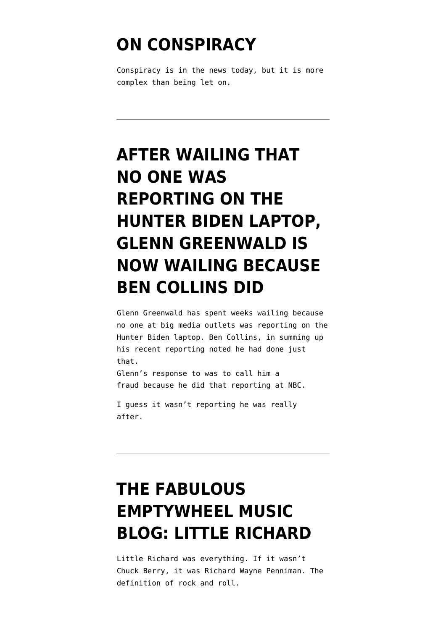#### **[ON CONSPIRACY](https://www.emptywheel.net/2021/02/16/on-conspiracy/)**

Conspiracy is in the news today, but it is more complex than being let on.

# **[AFTER WAILING THAT](https://www.emptywheel.net/2020/11/17/after-wailing-that-no-one-was-reporting-on-the-hunter-biden-laptop-glenn-greenwald-is-now-wailing-because-ben-collins-did/) [NO ONE WAS](https://www.emptywheel.net/2020/11/17/after-wailing-that-no-one-was-reporting-on-the-hunter-biden-laptop-glenn-greenwald-is-now-wailing-because-ben-collins-did/) [REPORTING ON THE](https://www.emptywheel.net/2020/11/17/after-wailing-that-no-one-was-reporting-on-the-hunter-biden-laptop-glenn-greenwald-is-now-wailing-because-ben-collins-did/) [HUNTER BIDEN LAPTOP,](https://www.emptywheel.net/2020/11/17/after-wailing-that-no-one-was-reporting-on-the-hunter-biden-laptop-glenn-greenwald-is-now-wailing-because-ben-collins-did/) [GLENN GREENWALD IS](https://www.emptywheel.net/2020/11/17/after-wailing-that-no-one-was-reporting-on-the-hunter-biden-laptop-glenn-greenwald-is-now-wailing-because-ben-collins-did/) [NOW WAILING BECAUSE](https://www.emptywheel.net/2020/11/17/after-wailing-that-no-one-was-reporting-on-the-hunter-biden-laptop-glenn-greenwald-is-now-wailing-because-ben-collins-did/) [BEN COLLINS DID](https://www.emptywheel.net/2020/11/17/after-wailing-that-no-one-was-reporting-on-the-hunter-biden-laptop-glenn-greenwald-is-now-wailing-because-ben-collins-did/)**

Glenn Greenwald has spent weeks wailing because no one at big media outlets was reporting on the Hunter Biden laptop. Ben Collins, in summing up his recent reporting noted he had done just that.

Glenn's response to was to call him a fraud because he did that reporting at NBC.

I guess it wasn't reporting he was really after.

## **[THE FABULOUS](https://www.emptywheel.net/2020/05/09/the-fabulous-emptywheel-music-blog-little-richard/) [EMPTYWHEEL MUSIC](https://www.emptywheel.net/2020/05/09/the-fabulous-emptywheel-music-blog-little-richard/) [BLOG: LITTLE RICHARD](https://www.emptywheel.net/2020/05/09/the-fabulous-emptywheel-music-blog-little-richard/)**

Little Richard was everything. If it wasn't Chuck Berry, it was Richard Wayne Penniman. The definition of rock and roll.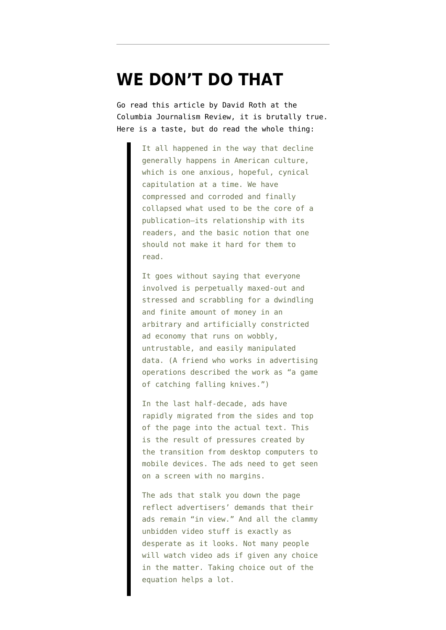#### **[WE DON'T DO THAT](https://www.emptywheel.net/2020/03/06/we-dont-do-that/)**

Go read this [article by David Roth at the](https://www.cjr.org/first_person/the-infinite-scroll.php) [Columbia Journalism Review,](https://www.cjr.org/first_person/the-infinite-scroll.php) it is brutally true. Here is a taste, but do read the whole thing:

> It all happened in the way that decline generally happens in American culture, which is one anxious, hopeful, cynical capitulation at a time. We have compressed and corroded and finally collapsed what used to be the core of a publication—its relationship with its readers, and the basic notion that one should not make it hard for them to read.

It goes without saying that everyone involved is perpetually maxed-out and stressed and scrabbling for a dwindling and finite amount of money in an arbitrary and artificially constricted ad economy that runs on wobbly, untrustable, and easily manipulated data. (A friend who works in advertising operations described the work as "a game of catching falling knives.")

In the last half-decade, ads have rapidly migrated from the sides and top of the page into the actual text. This is the result of pressures created by the transition from desktop computers to mobile devices. The ads need to get seen on a screen with no margins.

The ads that stalk you down the page reflect advertisers' demands that their ads remain "in view." And all the clammy unbidden video stuff is exactly as desperate as it looks. Not many people will watch video ads if given any choice in the matter. Taking choice out of the equation helps a lot.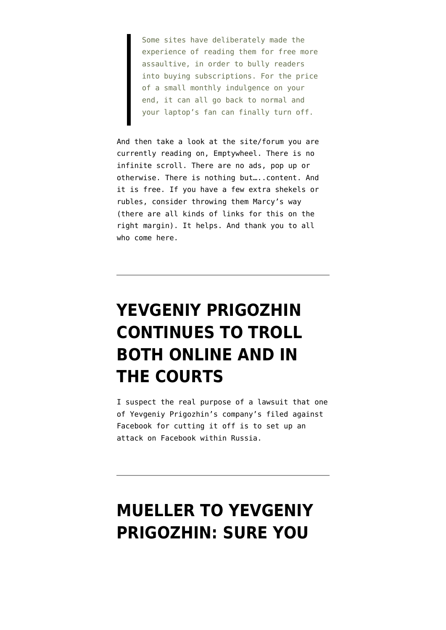Some sites have deliberately made the experience of reading them for free more assaultive, in order to bully readers into buying subscriptions. For the price of a small monthly indulgence on your end, it can all go back to normal and your laptop's fan can finally turn off.

And then take a look at the site/forum you are currently reading on, Emptywheel. There is no infinite scroll. There are no ads, pop up or otherwise. There is nothing but…..content. And it is free. If you have a few extra shekels or rubles, consider throwing them Marcy's way (there are all kinds of links for this on the right margin). It helps. And thank you to all who come here.

## **[YEVGENIY PRIGOZHIN](https://www.emptywheel.net/2018/11/25/yevgeniy-prigozhin-continues-to-troll-both-online-and-in-the-courts/) [CONTINUES TO TROLL](https://www.emptywheel.net/2018/11/25/yevgeniy-prigozhin-continues-to-troll-both-online-and-in-the-courts/) [BOTH ONLINE AND IN](https://www.emptywheel.net/2018/11/25/yevgeniy-prigozhin-continues-to-troll-both-online-and-in-the-courts/) [THE COURTS](https://www.emptywheel.net/2018/11/25/yevgeniy-prigozhin-continues-to-troll-both-online-and-in-the-courts/)**

I suspect the real purpose of a lawsuit that one of Yevgeniy Prigozhin's company's filed against Facebook for cutting it off is to set up an attack on Facebook within Russia.

#### **[MUELLER TO YEVGENIY](https://www.emptywheel.net/2018/06/13/mueller-to-yevgeniy-prigozhin-sure-you-can-have-discovery-if-you-come-to-the-united-states-to-get-it/) [PRIGOZHIN: SURE YOU](https://www.emptywheel.net/2018/06/13/mueller-to-yevgeniy-prigozhin-sure-you-can-have-discovery-if-you-come-to-the-united-states-to-get-it/)**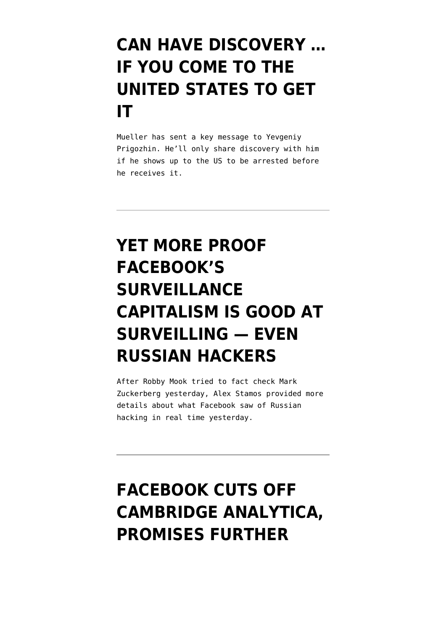#### **[CAN HAVE DISCOVERY …](https://www.emptywheel.net/2018/06/13/mueller-to-yevgeniy-prigozhin-sure-you-can-have-discovery-if-you-come-to-the-united-states-to-get-it/) [IF YOU COME TO THE](https://www.emptywheel.net/2018/06/13/mueller-to-yevgeniy-prigozhin-sure-you-can-have-discovery-if-you-come-to-the-united-states-to-get-it/) [UNITED STATES TO GET](https://www.emptywheel.net/2018/06/13/mueller-to-yevgeniy-prigozhin-sure-you-can-have-discovery-if-you-come-to-the-united-states-to-get-it/) [IT](https://www.emptywheel.net/2018/06/13/mueller-to-yevgeniy-prigozhin-sure-you-can-have-discovery-if-you-come-to-the-united-states-to-get-it/)**

Mueller has sent a key message to Yevgeniy Prigozhin. He'll only share discovery with him if he shows up to the US to be arrested before he receives it.

## **[YET MORE PROOF](https://www.emptywheel.net/2018/04/11/yet-more-proof-facebooks-surveillance-capitalism-is-good-at-surveilling-even-russian-hackers/) [FACEBOOK'S](https://www.emptywheel.net/2018/04/11/yet-more-proof-facebooks-surveillance-capitalism-is-good-at-surveilling-even-russian-hackers/) [SURVEILLANCE](https://www.emptywheel.net/2018/04/11/yet-more-proof-facebooks-surveillance-capitalism-is-good-at-surveilling-even-russian-hackers/) [CAPITALISM IS GOOD AT](https://www.emptywheel.net/2018/04/11/yet-more-proof-facebooks-surveillance-capitalism-is-good-at-surveilling-even-russian-hackers/) [SURVEILLING — EVEN](https://www.emptywheel.net/2018/04/11/yet-more-proof-facebooks-surveillance-capitalism-is-good-at-surveilling-even-russian-hackers/) [RUSSIAN HACKERS](https://www.emptywheel.net/2018/04/11/yet-more-proof-facebooks-surveillance-capitalism-is-good-at-surveilling-even-russian-hackers/)**

After Robby Mook tried to fact check Mark Zuckerberg yesterday, Alex Stamos provided more details about what Facebook saw of Russian hacking in real time yesterday.

### **[FACEBOOK CUTS OFF](https://www.emptywheel.net/2018/03/17/facebook-cuts-off-cambridge-analytica-promises-further-investigation/) [CAMBRIDGE ANALYTICA,](https://www.emptywheel.net/2018/03/17/facebook-cuts-off-cambridge-analytica-promises-further-investigation/) [PROMISES FURTHER](https://www.emptywheel.net/2018/03/17/facebook-cuts-off-cambridge-analytica-promises-further-investigation/)**